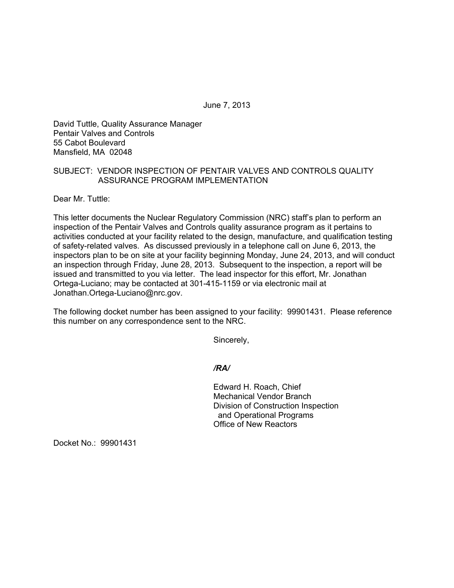June 7, 2013

David Tuttle, Quality Assurance Manager Pentair Valves and Controls 55 Cabot Boulevard Mansfield, MA 02048

## SUBJECT: VENDOR INSPECTION OF PENTAIR VALVES AND CONTROLS QUALITY ASSURANCE PROGRAM IMPLEMENTATION

Dear Mr. Tuttle:

This letter documents the Nuclear Regulatory Commission (NRC) staff's plan to perform an inspection of the Pentair Valves and Controls quality assurance program as it pertains to activities conducted at your facility related to the design, manufacture, and qualification testing of safety-related valves. As discussed previously in a telephone call on June 6, 2013, the inspectors plan to be on site at your facility beginning Monday, June 24, 2013, and will conduct an inspection through Friday, June 28, 2013. Subsequent to the inspection, a report will be issued and transmitted to you via letter. The lead inspector for this effort, Mr. Jonathan Ortega-Luciano; may be contacted at 301-415-1159 or via electronic mail at Jonathan.Ortega-Luciano@nrc.gov.

The following docket number has been assigned to your facility: 99901431. Please reference this number on any correspondence sent to the NRC.

Sincerely,

*/RA/* 

Edward H. Roach, Chief Mechanical Vendor Branch Division of Construction Inspection and Operational Programs Office of New Reactors

Docket No.: 99901431